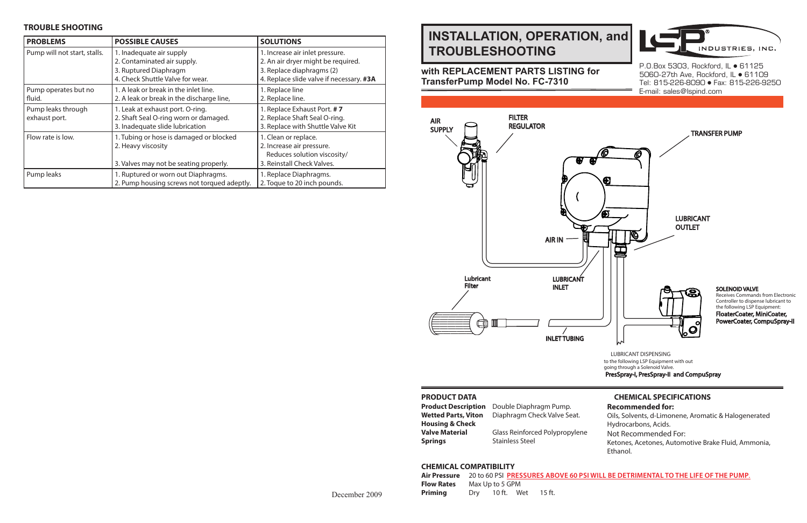# **INSTALLATION, OPERATION, and TROUBLESHOOTING**

# **with REPLACEMENT PARTS LISTING for TransferPump Model No. FC-7310**

#### **PRODUCT DATA**

| <b>Product Description</b> |
|----------------------------|
| <b>Wetted Parts, Viton</b> |
| <b>Housing &amp; Check</b> |
| <b>Valve Material</b>      |
| <b>Springs</b>             |

**Product Description** Double Diaphragm Pump. **Diaphragm Check Valve Seat.** 

**Glass Reinforced Polypropylene Stainless Steel** 

# **CHEMICAL SPECIFICATIONS**

**Recommended for:**

Oils, Solvents, d-Limonene, Aromatic & Halogenerated Hydrocarbons, Acids. Not Recommended For: Ketones, Acetones, Automotive Brake Fluid, Ammonia, Ethanol.

**AIRL BE DETRIMENTAL TO THE LIFE OF THE PUMP.** 

SOLENOID VALVE Receives Commands from Electronic Controller to dispense lubricant to the following LSP Equipment: FloaterCoater, MiniCoater, PowerCoater, CompuSpray-II

LUBRICANT DISPENSING to the following LSP Equipment with out going through a Solenoid Valve. PresSpray-I, PresSpray-II and CompuSpray

#### **TROUBLE SHOOTING**



P.O.Box 5303, Rockford, IL · 61125 5060-27th Ave, Rockford, IL • 61109 Tel: 815-226-8090 Fax: 815-226-9250 E-mail: sales@lspind.com

| <b>PROBLEMS</b>                     | <b>POSSIBLE CAUSES</b>                                                                                               | <b>SOLUTIONS</b>                                                                                                                               |
|-------------------------------------|----------------------------------------------------------------------------------------------------------------------|------------------------------------------------------------------------------------------------------------------------------------------------|
| Pump will not start, stalls.        | 1. Inadequate air supply<br>2. Contaminated air supply.<br>3. Ruptured Diaphragm<br>4. Check Shuttle Valve for wear. | 1. Increase air inlet pressure.<br>2. An air dryer might be required.<br>3. Replace diaphragms (2)<br>4. Replace slide valve if necessary. #3A |
| Pump operates but no<br>fluid.      | 1. A leak or break in the inlet line.<br>2. A leak or break in the discharge line,                                   | 1. Replace line<br>2. Replace line.                                                                                                            |
| Pump leaks through<br>exhaust port. | 1. Leak at exhaust port. O-ring.<br>2. Shaft Seal O-ring worn or damaged.<br>3. Inadequate slide lubrication         | 1. Replace Exhaust Port. #7<br>2. Replace Shaft Seal O-ring.<br>3. Replace with Shuttle Valve Kit                                              |
| Flow rate is low.                   | 1. Tubing or hose is damaged or blocked<br>2. Heavy viscosity<br>3. Valves may not be seating properly.              | 1. Clean or replace.<br>2. Increase air pressure.<br>Reduces solution viscosity/<br>3. Reinstall Check Valves.                                 |
| Pump leaks                          | 1. Ruptured or worn out Diaphragms.<br>2. Pump housing screws not torqued adeptly.                                   | 1. Replace Diaphragms.<br>2. Toque to 20 inch pounds.                                                                                          |



#### **CHEMICAL COMPATIBILITY**

| Air Pressure 20 to 60 PSI PRESSURES ABOVE 60 PSI |                 |            |          |  |
|--------------------------------------------------|-----------------|------------|----------|--|
| <b>Flow Rates</b>                                | Max Up to 5 GPM |            |          |  |
| Priming                                          | Drv             | 10 ft. Wet | - 15 ft. |  |